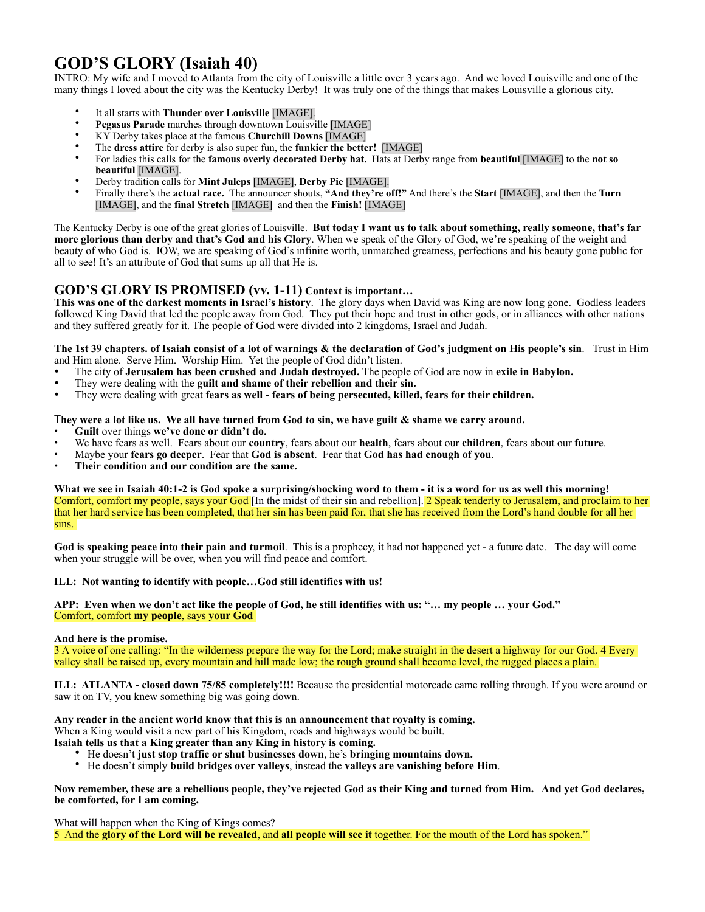# **GOD'S GLORY (Isaiah 40)**

INTRO: My wife and I moved to Atlanta from the city of Louisville a little over 3 years ago. And we loved Louisville and one of the many things I loved about the city was the Kentucky Derby! It was truly one of the things that makes Louisville a glorious city.

- It all starts with **Thunder over Louisville** [IMAGE].
- **Pegasus Parade** marches through downtown Louisville [IMAGE]
- KY Derby takes place at the famous **Churchill Downs** [IMAGE]
- The **dress attire** for derby is also super fun, the **funkier the better!** [IMAGE]
- For ladies this calls for the **famous overly decorated Derby hat.** Hats at Derby range from **beautiful** [IMAGE] to the **not so beautiful** [IMAGE].
- Derby tradition calls for **Mint Juleps** [IMAGE], **Derby Pie** [IMAGE].
- Finally there's the **actual race.** The announcer shouts, **"And they're off!"** And there's the **Start** [IMAGE], and then the **Turn** [IMAGE], and the **final Stretch** [IMAGE] and then the **Finish!** [IMAGE]

The Kentucky Derby is one of the great glories of Louisville. **But today I want us to talk about something, really someone, that's far more glorious than derby and that's God and his Glory**. When we speak of the Glory of God, we're speaking of the weight and beauty of who God is. IOW, we are speaking of God's infinite worth, unmatched greatness, perfections and his beauty gone public for all to see! It's an attribute of God that sums up all that He is.

# **GOD'S GLORY IS PROMISED (vv. 1-11) Context is important…**

**This was one of the darkest moments in Israel's history**. The glory days when David was King are now long gone. Godless leaders followed King David that led the people away from God. They put their hope and trust in other gods, or in alliances with other nations and they suffered greatly for it. The people of God were divided into 2 kingdoms, Israel and Judah.

**The 1st 39 chapters. of Isaiah consist of a lot of warnings & the declaration of God's judgment on His people's sin**. Trust in Him and Him alone. Serve Him. Worship Him. Yet the people of God didn't listen.

- The city of **Jerusalem has been crushed and Judah destroyed.** The people of God are now in **exile in Babylon.**
- They were dealing with the **guilt and shame of their rebellion and their sin.**
- They were dealing with great **fears as well fears of being persecuted, killed, fears for their children.**

T**hey were a lot like us. We all have turned from God to sin, we have guilt & shame we carry around.** 

- **• Guilt** over things **we've done or didn't do.**
- We have fears as well. Fears about our **country**, fears about our **health**, fears about our **children**, fears about our **future**.
- Maybe your **fears go deeper**. Fear that **God is absent**. Fear that **God has had enough of you**.
- **Their condition and our condition are the same.**

**What we see in Isaiah 40:1-2 is God spoke a surprising/shocking word to them - it is a word for us as well this morning!**  Comfort, comfort my people, says your God [In the midst of their sin and rebellion]. 2 Speak tenderly to Jerusalem, and proclaim to her that her hard service has been completed, that her sin has been paid for, that she has received from the Lord's hand double for all her sins.

**God is speaking peace into their pain and turmoil**. This is a prophecy, it had not happened yet - a future date. The day will come when your struggle will be over, when you will find peace and comfort.

# **ILL: Not wanting to identify with people…God still identifies with us!**

**APP: Even when we don't act like the people of God, he still identifies with us: "… my people … your God."**  Comfort, comfort **my people**, says **your God** 

# **And here is the promise.**

3 A voice of one calling: "In the wilderness prepare the way for the Lord; make straight in the desert a highway for our God. 4 Every valley shall be raised up, every mountain and hill made low; the rough ground shall become level, the rugged places a plain.

**ILL: ATLANTA - closed down 75/85 completely!!!!** Because the presidential motorcade came rolling through. If you were around or saw it on TV, you knew something big was going down.

**Any reader in the ancient world know that this is an announcement that royalty is coming.**

When a King would visit a new part of his Kingdom, roads and highways would be built.

- **Isaiah tells us that a King greater than any King in history is coming.** 
	- He doesn't **just stop traffic or shut businesses down**, he's **bringing mountains down.**
	- He doesn't simply **build bridges over valleys**, instead the **valleys are vanishing before Him**.

**Now remember, these are a rebellious people, they've rejected God as their King and turned from Him. And yet God declares, be comforted, for I am coming.** 

What will happen when the King of Kings comes? 5 And the **glory of the Lord will be revealed**, and **all people will see it** together. For the mouth of the Lord has spoken."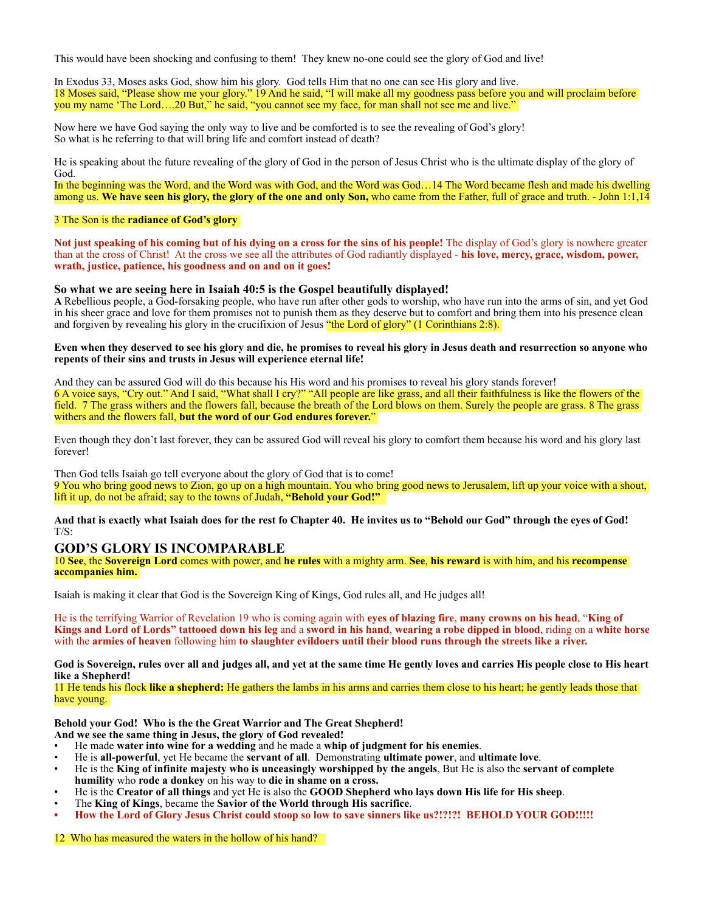This would have been shocking and confusing to them! They knew no-one could see the glory of God and live!

In Exodus 33, Moses asks God, show him his glory. God tells Him that no one can see His glory and live. 18 Moses said, "Please show me your glory." 19 And he said, "I will make all my goodness pass before you and will proclaim before you my name 'The Lord….20 But," he said, "you cannot see my face, for man shall not see me and live."

Now here we have God saying the only way to live and be comforted is to see the revealing of God's glory! So what is he referring to that will bring life and comfort instead of death?

He is speaking about the future revealing of the glory of God in the person of Jesus Christ who is the ultimate display of the glory of God.

In the beginning was the Word, and the Word was with God, and the Word was God…14 The Word became flesh and made his dwelling among us. **We have seen his glory, the glory of the one and only Son,** who came from the Father, full of grace and truth. - John 1:1,14

### 3 The Son is the **radiance of God's glory**

**Not just speaking of his coming but of his dying on a cross for the sins of his people!** The display of God's glory is nowhere greater than at the cross of Christ! At the cross we see all the attributes of God radiantly displayed - **his love, mercy, grace, wisdom, power, wrath, justice, patience, his goodness and on and on it goes!** 

#### **So what we are seeing here in Isaiah 40:5 is the Gospel beautifully displayed!**

**A** Rebellious people, a God-forsaking people, who have run after other gods to worship, who have run into the arms of sin, and yet God in his sheer grace and love for them promises not to punish them as they deserve but to comfort and bring them into his presence clean and forgiven by revealing his glory in the crucifixion of Jesus "the Lord of glory" (1 Corinthians 2:8).

#### **Even when they deserved to see his glory and die, he promises to reveal his glory in Jesus death and resurrection so anyone who repents of their sins and trusts in Jesus will experience eternal life!**

And they can be assured God will do this because his His word and his promises to reveal his glory stands forever! 6 A voice says, "Cry out." And I said, "What shall I cry?" "All people are like grass, and all their faithfulness is like the flowers of the field. 7 The grass withers and the flowers fall, because the breath of the Lord blows on them. Surely the people are grass. 8 The grass withers and the flowers fall, **but the word of our God endures forever.**"

Even though they don't last forever, they can be assured God will reveal his glory to comfort them because his word and his glory last forever!

Then God tells Isaiah go tell everyone about the glory of God that is to come! 9 You who bring good news to Zion, go up on a high mountain. You who bring good news to Jerusalem, lift up your voice with a shout, lift it up, do not be afraid; say to the towns of Judah, **"Behold your God!"** 

**And that is exactly what Isaiah does for the rest fo Chapter 40. He invites us to "Behold our God" through the eyes of God!**   $T/S$ 

# **GOD'S GLORY IS INCOMPARABLE**

10 **See**, the **Sovereign Lord** comes with power, and **he rules** with a mighty arm. **See**, **his reward** is with him, and his **recompense accompanies him.** 

Isaiah is making it clear that God is the Sovereign King of Kings, God rules all, and He judges all!

He is the terrifying Warrior of Revelation 19 who is coming again with **eyes of blazing fire**, **many crowns on his head**, "**King of Kings and Lord of Lords" tattooed down his leg** and a **sword in his hand**, **wearing a robe dipped in blood**, riding on a **white horse** with the **armies of heaven** following him **to slaughter evildoers until their blood runs through the streets like a river.**

**God is Sovereign, rules over all and judges all, and yet at the same time He gently loves and carries His people close to His heart like a Shepherd!** 

11 He tends his flock **like a shepherd:** He gathers the lambs in his arms and carries them close to his heart; he gently leads those that have young.

**Behold your God! Who is the the Great Warrior and The Great Shepherd!** 

- **And we see the same thing in Jesus, the glory of God revealed!**
- He made **water into wine for a wedding** and he made a **whip of judgment for his enemies**.
- He is **all-powerful**, yet He became the **servant of all**. Demonstrating **ultimate power**, and **ultimate love**.
- He is the **King of infinite majesty who is unceasingly worshipped by the angels**, But He is also the **servant of complete humility** who **rode a donkey** on his way to **die in shame on a cross.**
- He is the **Creator of all things** and yet He is also the **GOOD Shepherd who lays down His life for His sheep**.
- The **King of Kings**, became the **Savior of the World through His sacrifice**.
- **• How the Lord of Glory Jesus Christ could stoop so low to save sinners like us?!?!?! BEHOLD YOUR GOD!!!!!**

12 Who has measured the waters in the hollow of his hand?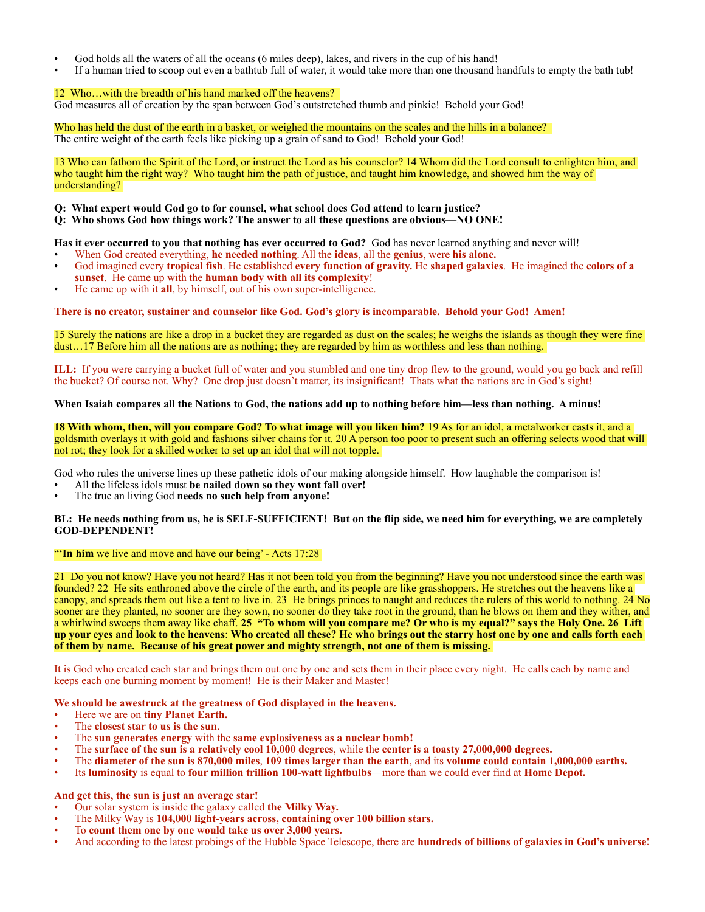- God holds all the waters of all the oceans (6 miles deep), lakes, and rivers in the cup of his hand!
- If a human tried to scoop out even a bathtub full of water, it would take more than one thousand handfuls to empty the bath tub!

# 12 Who…with the breadth of his hand marked off the heavens?

God measures all of creation by the span between God's outstretched thumb and pinkie! Behold your God!

Who has held the dust of the earth in a basket, or weighed the mountains on the scales and the hills in a balance? The entire weight of the earth feels like picking up a grain of sand to God! Behold your God!

13 Who can fathom the Spirit of the Lord, or instruct the Lord as his counselor? 14 Whom did the Lord consult to enlighten him, and who taught him the right way? Who taught him the path of justice, and taught him knowledge, and showed him the way of understanding?

### **Q: What expert would God go to for counsel, what school does God attend to learn justice?**

**Q: Who shows God how things work? The answer to all these questions are obvious—NO ONE!**

**Has it ever occurred to you that nothing has ever occurred to God?** God has never learned anything and never will!

- When God created everything, **he needed nothing**. All the **ideas**, all the **genius**, were **his alone.**
- God imagined every **tropical fish**. He established **every function of gravity.** He **shaped galaxies**. He imagined the **colors of a sunset**. He came up with the **human body with all its complexity**!
- He came up with it **all**, by himself, out of his own super-intelligence.

**There is no creator, sustainer and counselor like God. God's glory is incomparable. Behold your God! Amen!** 

15 Surely the nations are like a drop in a bucket they are regarded as dust on the scales; he weighs the islands as though they were fine dust…17 Before him all the nations are as nothing; they are regarded by him as worthless and less than nothing.

**ILL:** If you were carrying a bucket full of water and you stumbled and one tiny drop flew to the ground, would you go back and refill the bucket? Of course not. Why? One drop just doesn't matter, its insignificant! Thats what the nations are in God's sight!

#### **When Isaiah compares all the Nations to God, the nations add up to nothing before him—less than nothing. A minus!**

**18 With whom, then, will you compare God? To what image will you liken him?** 19 As for an idol, a metalworker casts it, and a goldsmith overlays it with gold and fashions silver chains for it. 20 A person too poor to present such an offering selects wood that will not rot; they look for a skilled worker to set up an idol that will not topple.

God who rules the universe lines up these pathetic idols of our making alongside himself. How laughable the comparison is!

- All the lifeless idols must **be nailed down so they wont fall over!**
- The true an living God **needs no such help from anyone!**

#### **BL: He needs nothing from us, he is SELF-SUFFICIENT! But on the flip side, we need him for everything, we are completely GOD-DEPENDENT!**

#### "'**In him** we live and move and have our being' - Acts 17:28

21 Do you not know? Have you not heard? Has it not been told you from the beginning? Have you not understood since the earth was founded? 22 He sits enthroned above the circle of the earth, and its people are like grasshoppers. He stretches out the heavens like a canopy, and spreads them out like a tent to live in. 23 He brings princes to naught and reduces the rulers of this world to nothing. 24 No sooner are they planted, no sooner are they sown, no sooner do they take root in the ground, than he blows on them and they wither, and a whirlwind sweeps them away like chaff. **25 "To whom will you compare me? Or who is my equal?" says the Holy One. 26 Lift up your eyes and look to the heavens**: **Who created all these? He who brings out the starry host one by one and calls forth each of them by name. Because of his great power and mighty strength, not one of them is missing.** 

It is God who created each star and brings them out one by one and sets them in their place every night. He calls each by name and keeps each one burning moment by moment! He is their Maker and Master!

**We should be awestruck at the greatness of God displayed in the heavens.** 

- Here we are on **tiny Planet Earth.**
- The **closest star to us is the sun**.
- The **sun generates energy** with the **same explosiveness as a nuclear bomb!**
- The **surface of the sun is a relatively cool 10,000 degrees**, while the **center is a toasty 27,000,000 degrees.**
- The **diameter of the sun is 870,000 miles**, **109 times larger than the earth**, and its **volume could contain 1,000,000 earths.**
- Its **luminosity** is equal to **four million trillion 100-watt lightbulbs**—more than we could ever find at **Home Depot.**

# **And get this, the sun is just an average star!**

- Our solar system is inside the galaxy called **the Milky Way.**
- The Milky Way is **104,000 light-years across, containing over 100 billion stars.**
- To **count them one by one would take us over 3,000 years.**
- And according to the latest probings of the Hubble Space Telescope, there are **hundreds of billions of galaxies in God's universe!**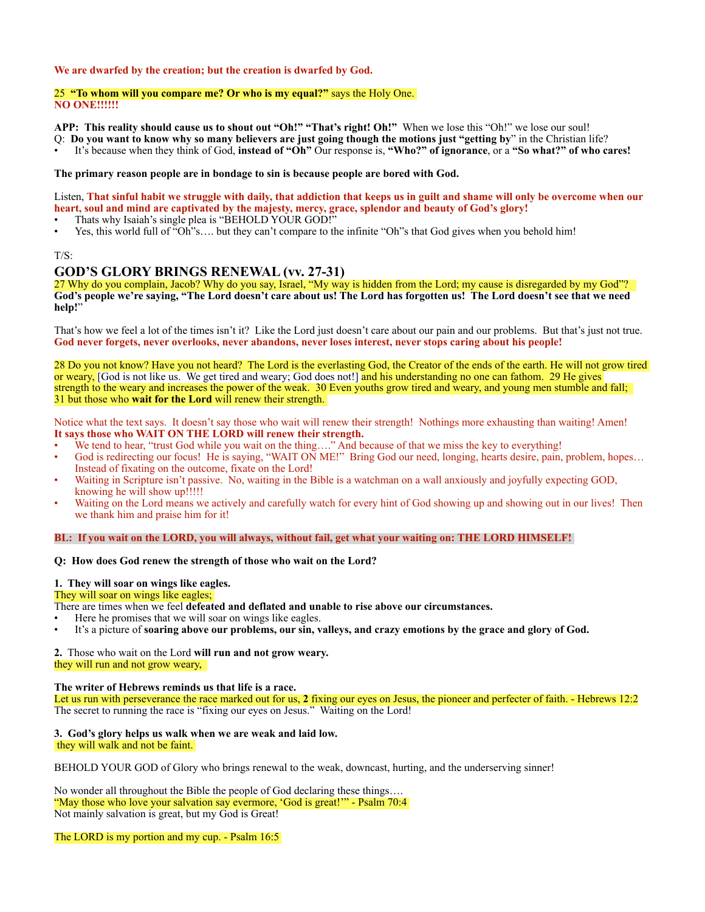### **We are dwarfed by the creation; but the creation is dwarfed by God.**

#### 25 **"To whom will you compare me? Or who is my equal?"** says the Holy One. **NO ONE!!!!!!**

**APP: This reality should cause us to shout out "Oh!" "That's right! Oh!"** When we lose this "Oh!" we lose our soul!

- Q: **Do you want to know why so many believers are just going though the motions just "getting by**" in the Christian life?
- It's because when they think of God, **instead of "Oh"** Our response is, **"Who?" of ignorance**, or a **"So what?" of who cares!**

# **The primary reason people are in bondage to sin is because people are bored with God.**

Listen, **That sinful habit we struggle with daily, that addiction that keeps us in guilt and shame will only be overcome when our heart, soul and mind are captivated by the majesty, mercy, grace, splendor and beauty of God's glory!**

- Thats why Isaiah's single plea is "BEHOLD YOUR GOD!"
- Yes, this world full of "Oh"s…. but they can't compare to the infinite "Oh"s that God gives when you behold him!

#### T/S:

# **GOD'S GLORY BRINGS RENEWAL (vv. 27-31)**

27 Why do you complain, Jacob? Why do you say, Israel, "My way is hidden from the Lord; my cause is disregarded by my God"? **God's people we're saying, "The Lord doesn't care about us! The Lord has forgotten us! The Lord doesn't see that we need help!**"

That's how we feel a lot of the times isn't it? Like the Lord just doesn't care about our pain and our problems. But that's just not true. **God never forgets, never overlooks, never abandons, never loses interest, never stops caring about his people!** 

28 Do you not know? Have you not heard? The Lord is the everlasting God, the Creator of the ends of the earth. He will not grow tired or weary, [God is not like us. We get tired and weary; God does not!] and his understanding no one can fathom. 29 He gives strength to the weary and increases the power of the weak. 30 Even youths grow tired and weary, and young men stumble and fall; 31 but those who **wait for the Lord** will renew their strength.

Notice what the text says. It doesn't say those who wait will renew their strength! Nothings more exhausting than waiting! Amen! **It says those who WAIT ON THE LORD will renew their strength.** 

- We tend to hear, "trust God while you wait on the thing...." And because of that we miss the key to everything!
- God is redirecting our focus! He is saying, "WAIT ON ME!" Bring God our need, longing, hearts desire, pain, problem, hopes... Instead of fixating on the outcome, fixate on the Lord!
- Waiting in Scripture isn't passive. No, waiting in the Bible is a watchman on a wall anxiously and joyfully expecting GOD, knowing he will show up!!!!!
- Waiting on the Lord means we actively and carefully watch for every hint of God showing up and showing out in our lives! Then we thank him and praise him for it!

**BL: If you wait on the LORD, you will always, without fail, get what your waiting on: THE LORD HIMSELF!** 

# **Q: How does God renew the strength of those who wait on the Lord?**

### **1. They will soar on wings like eagles.**

#### They will soar on wings like eagles;

There are times when we feel **defeated and deflated and unable to rise above our circumstances.**

- Here he promises that we will soar on wings like eagles.
- It's a picture of **soaring above our problems, our sin, valleys, and crazy emotions by the grace and glory of God.**

**2.** Those who wait on the Lord **will run and not grow weary.** they will run and not grow weary,

#### **The writer of Hebrews reminds us that life is a race.**

Let us run with perseverance the race marked out for us, **2** fixing our eyes on Jesus, the pioneer and perfecter of faith. - Hebrews 12:2 The secret to running the race is "fixing our eyes on Jesus." Waiting on the Lord!

# **3. God's glory helps us walk when we are weak and laid low.**

they will walk and not be faint.

BEHOLD YOUR GOD of Glory who brings renewal to the weak, downcast, hurting, and the underserving sinner!

No wonder all throughout the Bible the people of God declaring these things…. "May those who love your salvation say evermore, 'God is great!'" - Psalm 70:4 Not mainly salvation is great, but my God is Great!

The LORD is my portion and my cup. - Psalm 16:5